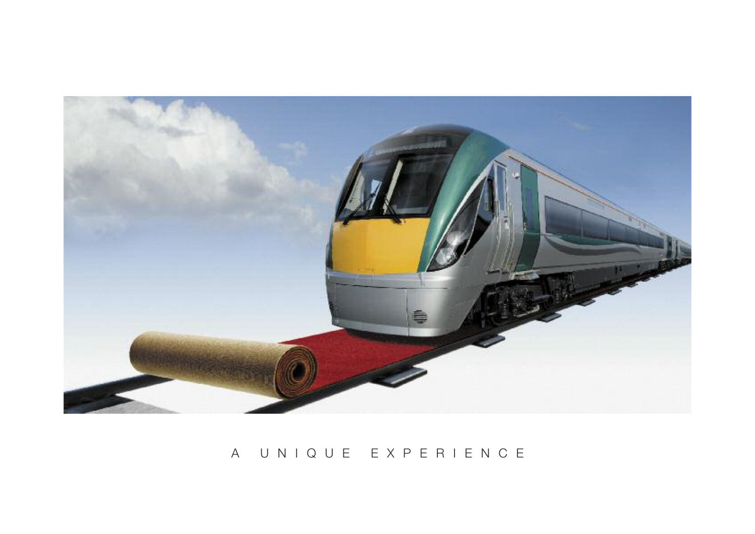# A U N I Q U E E X P E R I E N C E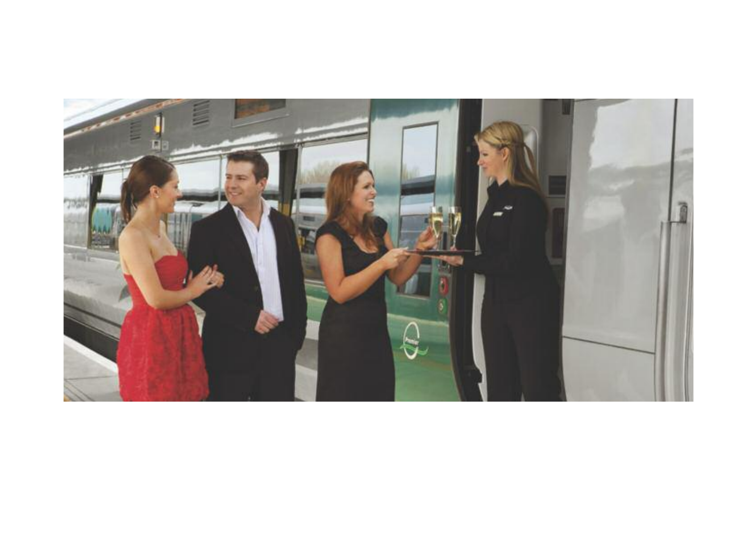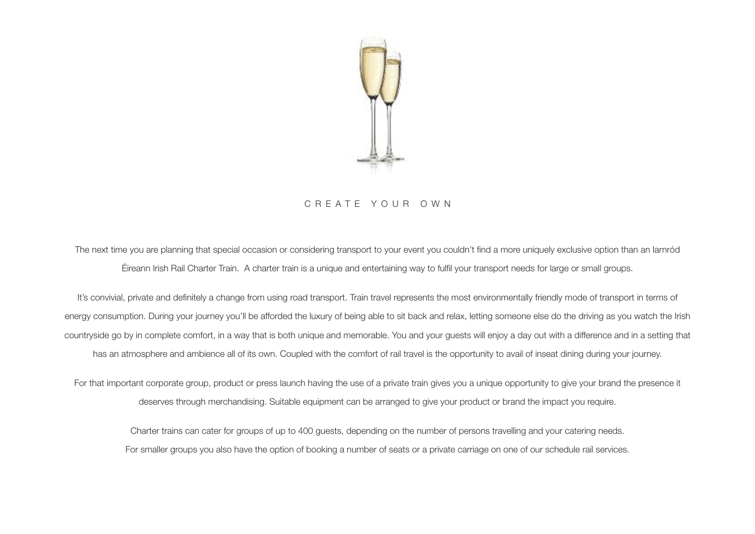

#### C R E A T E Y O U R O W N

The next time you are planning that special occasion or considering transport to your event you couldn't find a more uniquely exclusive option than an Iarnród Éireann Irish Rail Charter Train. A charter train is a unique and entertaining way to fulfil your transport needs for large or small groups.

It's convivial, private and definitely a change from using road transport. Train travel represents the most environmentally friendly mode of transport in terms of energy consumption. During your journey you'll be afforded the luxury of being able to sit back and relax, letting someone else do the driving as you watch the Irish countryside go by in complete comfort, in a way that is both unique and memorable. You and your guests will enjoy a day out with a difference and in a setting that has an atmosphere and ambience all of its own. Coupled with the comfort of rail travel is the opportunity to avail of inseat dining during your journey.

For that important corporate group, product or press launch having the use of a private train gives you a unique opportunity to give your brand the presence it deserves through merchandising. Suitable equipment can be arranged to give your product or brand the impact you require.

Charter trains can cater for groups of up to 400 guests, depending on the number of persons travelling and your catering needs. For smaller groups you also have the option of booking a number of seats or a private carriage on one of our schedule rail services.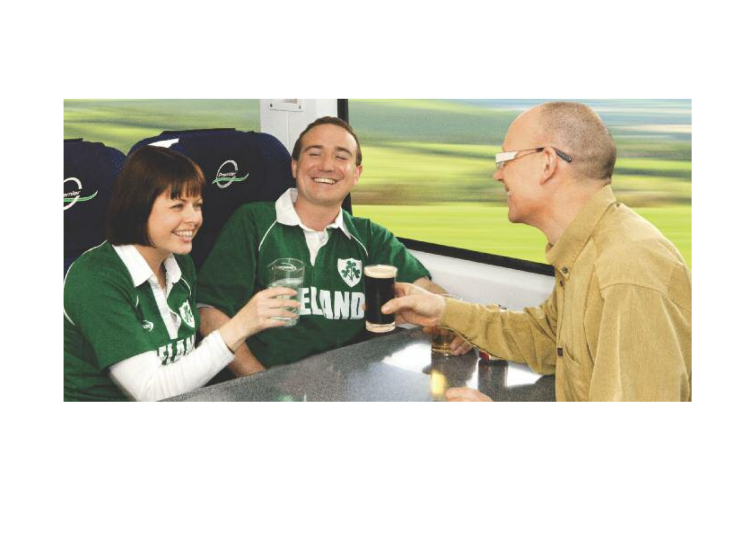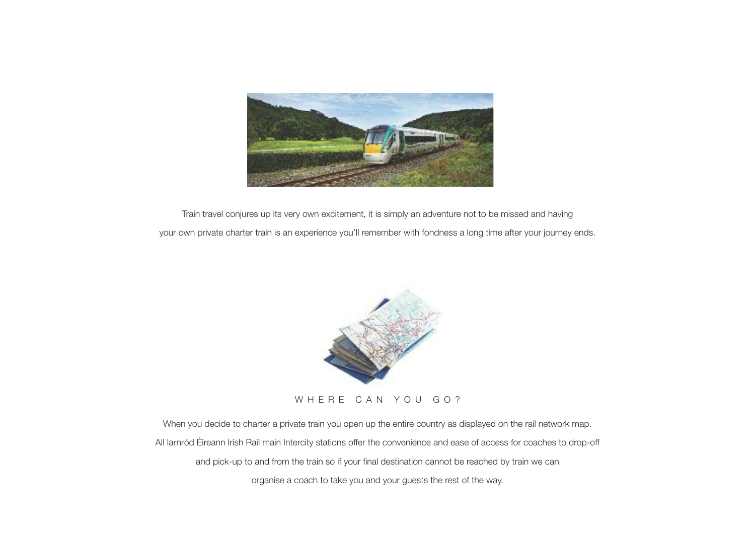

Train travel conjures up its very own excitement, it is simply an adventure not to be missed and having

your own private charter train is an experience you'll remember with fondness a long time after your journey ends.



WHERE CAN YOU GO?

When you decide to charter a private train you open up the entire country as displayed on the rail network map. All Iarnród Éireann Irish Rail main Intercity stations offer the convenience and ease of access for coaches to drop-off and pick-up to and from the train so if your final destination cannot be reached by train we can organise a coach to take you and your guests the rest of the way.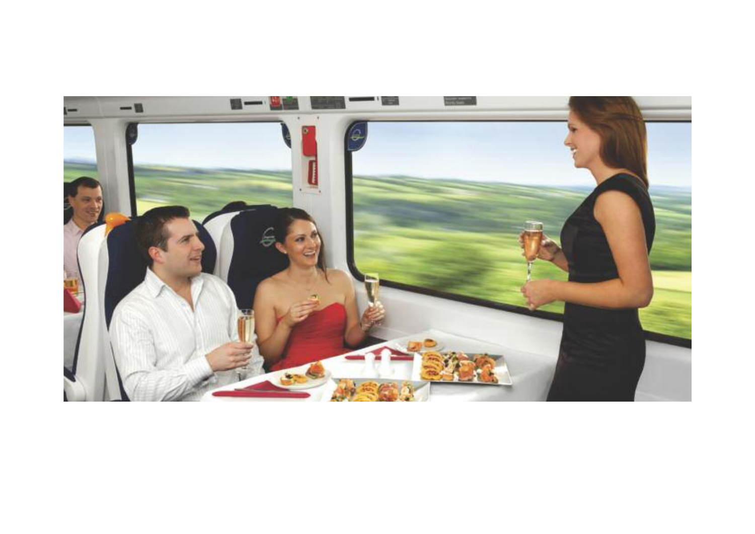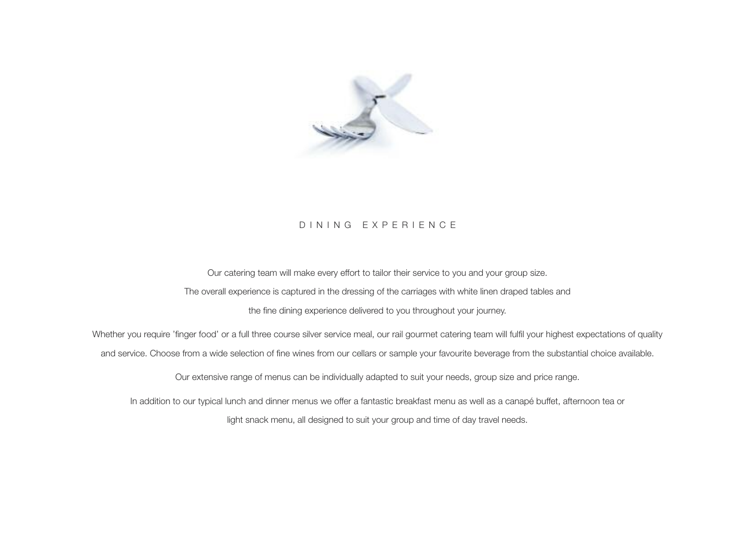

### D I N I N G E X P E R I E N C E

Our catering team will make every effort to tailor their service to you and your group size. The overall experience is captured in the dressing of the carriages with white linen draped tables and the fine dining experience delivered to you throughout your journey.

Whether you require 'finger food' or a full three course silver service meal, our rail gourmet catering team will fulfil your highest expectations of quality and service. Choose from a wide selection of fine wines from our cellars or sample your favourite beverage from the substantial choice available.

Our extensive range of menus can be individually adapted to suit your needs, group size and price range.

In addition to our typical lunch and dinner menus we offer a fantastic breakfast menu as well as a canapé buffet, afternoon tea or light snack menu, all designed to suit your group and time of day travel needs.